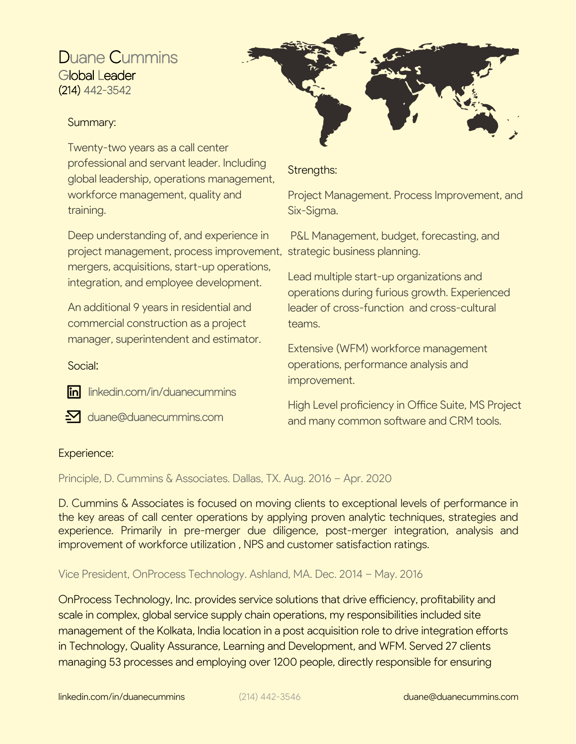## Duane Cummins Global Leader (214) 442-3542

## Summary:

Twenty-two years as a call center professional and servant leader. Including global leadership, operations management, workforce management, quality and training.

Deep understanding of, and experience in project management, process improvement, strategic business planning. mergers, acquisitions, start-up operations, integration, and employee development.

An additional 9 years in residential and commercial construction as a project manager, superintendent and estimator.

Social:

in linkedin.com/in/duanecummins

 $\boldsymbol{\Sigma}$  duane@duanecummins.com

## Strengths:

Project Management. Process Improvement, and Six-Sigma.

P&L Management, budget, forecasting, and

Lead multiple start-up organizations and operations during furious growth. Experienced leader of cross-function and cross-cultural teams.

Extensive (WFM) workforce management operations, performance analysis and improvement.

High Level proficiency in Office Suite, MS Project and many common software and CRM tools.

## Experience:

Principle, D. Cummins & Associates. Dallas, TX. Aug. 2016 – Apr. 2020

D. Cummins & Associates is focused on moving clients to exceptional levels of performance in the key areas of call center operations by applying proven analytic techniques, strategies and experience. Primarily in pre-merger due diligence, post-merger integration, analysis and improvement of workforce utilization , NPS and customer satisfaction ratings.

Vice President, OnProcess Technology. Ashland, MA. Dec. 2014 – May. 2016

OnProcess Technology, Inc. provides service solutions that drive efficiency, profitability and scale in complex, global service supply chain operations, my responsibilities included site management of the Kolkata, India location in a post acquisition role to drive integration efforts in Technology, Quality Assurance, Learning and Development, and WFM. Served 27 clients managing 53 processes and employing over 1200 people, directly responsible for ensuring